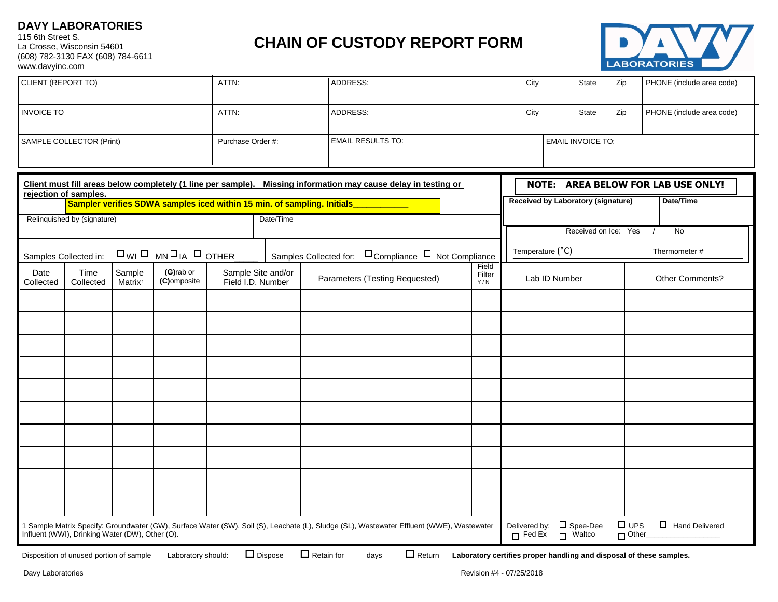## **DAVY LABORATORIES**

115 6th Street S. La Crosse, Wisconsin 54601 (608) 782-3130 FAX (608) 784-6611 www.davyinc.com

## **CHAIN OF CUSTODY REPORT FORM**



| <b>INVOICE TO</b><br>ATTN:<br>ADDRESS:<br>City<br>State<br>Zip<br>PHONE (include area code)                                                                                                                                                                                                                                                                                                                                                                            |  |
|------------------------------------------------------------------------------------------------------------------------------------------------------------------------------------------------------------------------------------------------------------------------------------------------------------------------------------------------------------------------------------------------------------------------------------------------------------------------|--|
|                                                                                                                                                                                                                                                                                                                                                                                                                                                                        |  |
| <b>EMAIL RESULTS TO:</b><br><b>EMAIL INVOICE TO:</b><br>SAMPLE COLLECTOR (Print)<br>Purchase Order #:                                                                                                                                                                                                                                                                                                                                                                  |  |
| Client must fill areas below completely (1 line per sample). Missing information may cause delay in testing or<br><b>NOTE: AREA BELOW FOR LAB USE ONLY!</b><br>rejection of samples.<br>Received by Laboratory (signature)<br>Date/Time                                                                                                                                                                                                                                |  |
| Sampler verifies SDWA samples iced within 15 min. of sampling. Initials<br>Date/Time<br>Relinquished by (signature)<br>No<br>Received on Ice: Yes                                                                                                                                                                                                                                                                                                                      |  |
| Temperature (°C)<br>Thermometer #<br>$\square_{\text{WI}} \square_{\text{MN}} \square_{\text{IA}} \square_{\text{OTHER}}$<br>Samples Collected for: □ Compliance □ Not Compliance<br>Samples Collected in:                                                                                                                                                                                                                                                             |  |
| Field<br>(G)rab or<br>Sample Site and/or<br>Date<br>Time<br>Sample<br>Filter<br>Other Comments?<br>Parameters (Testing Requested)<br>Lab ID Number<br>(C)omposite<br>Field I.D. Number<br>Collected<br>Matrix <sup>1</sup><br>Collected<br>Y/N                                                                                                                                                                                                                         |  |
|                                                                                                                                                                                                                                                                                                                                                                                                                                                                        |  |
|                                                                                                                                                                                                                                                                                                                                                                                                                                                                        |  |
|                                                                                                                                                                                                                                                                                                                                                                                                                                                                        |  |
|                                                                                                                                                                                                                                                                                                                                                                                                                                                                        |  |
|                                                                                                                                                                                                                                                                                                                                                                                                                                                                        |  |
|                                                                                                                                                                                                                                                                                                                                                                                                                                                                        |  |
|                                                                                                                                                                                                                                                                                                                                                                                                                                                                        |  |
| Delivered by: $\Box$ Spee-Dee<br>$\square$ UPS                                                                                                                                                                                                                                                                                                                                                                                                                         |  |
| Hand Delivered<br>1 Sample Matrix Specify: Groundwater (GW), Surface Water (SW), Soil (S), Leachate (L), Sludge (SL), Wastewater Effluent (WWE), Wastewater<br>Influent (WWI), Drinking Water (DW), Other (O).<br>$\Box$ Fed Ex $\Box$ Waltco<br>$\Box$ Other_<br>$\Box$ Retain for<br>$\Box$ Return<br>$\Box$ Dispose<br>Laboratory should:<br>Laboratory certifies proper handling and disposal of these samples.<br>days<br>Disposition of unused portion of sample |  |